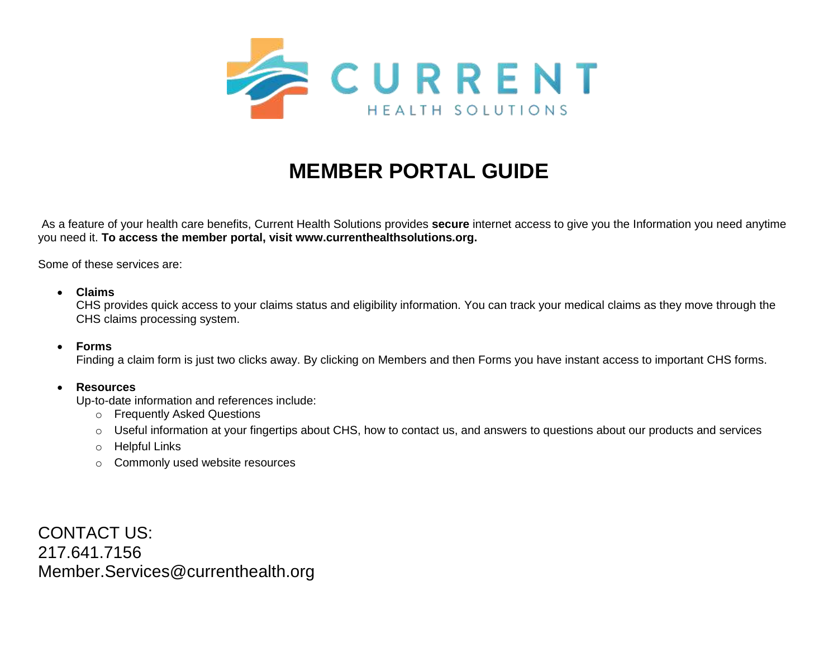

# **MEMBER PORTAL GUIDE**

As a feature of your health care benefits, Current Health Solutions provides **secure** internet access to give you the Information you need anytime you need it. **To access the member portal, visit www.currenthealthsolutions.org.**

Some of these services are:

### • **Claims**

CHS provides quick access to your claims status and eligibility information. You can track your medical claims as they move through the CHS claims processing system.

### • **Forms**

Finding a claim form is just two clicks away. By clicking on Members and then Forms you have instant access to important CHS forms.

### • **Resources**

Up-to-date information and references include:

- o Frequently Asked Questions
- $\circ$  Useful information at your fingertips about CHS, how to contact us, and answers to questions about our products and services
- o Helpful Links
- o Commonly used website resources

CONTACT US: 217.641.7156 Member.Services@currenthealth.org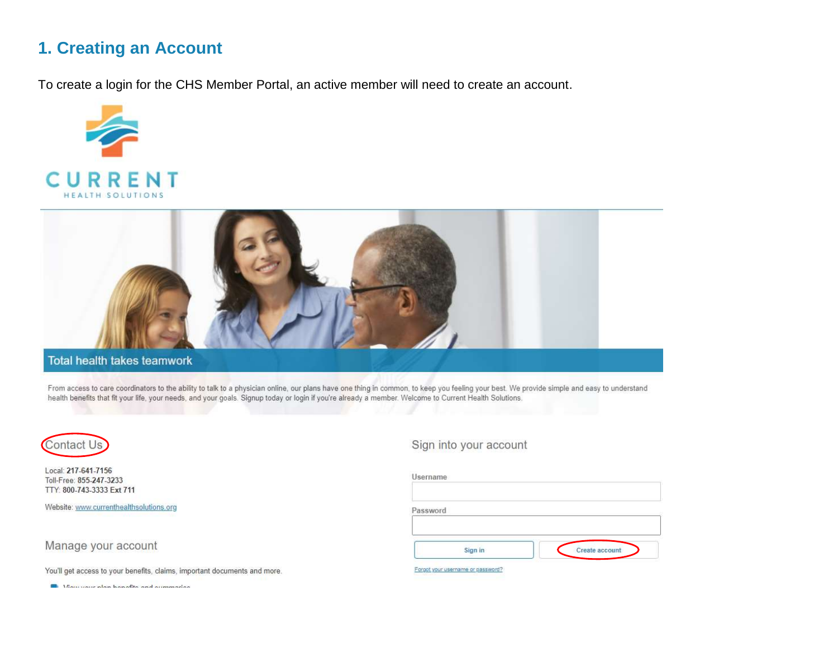## 1. Creating an Account

To create a login for the CHS Member Portal, an active member will need to create an account.





## **Total health takes teamwork**

From access to care coordinators to the ability to talk to a physician online, our plans have one thing in common, to keep you feeling your best. We provide simple and easy to understand health benefits that fit your life, your needs, and your goals. Signup today or login if you're already a member. Welcome to Current Health Solutions.



Local: 217-641-7156 Toll-Free: 855-247-3233 TTY: 800-743-3333 Ext 711

Website: www.currenthealthsolutions.org

### Manage your account

You'll get access to your benefits, claims, important documents and more.

**III** Maurosucalan kanafita and armoracles

### Sign into your account

| Username |                |
|----------|----------------|
| Password |                |
|          |                |
| Sign in  | Create account |

Forgot your username or password?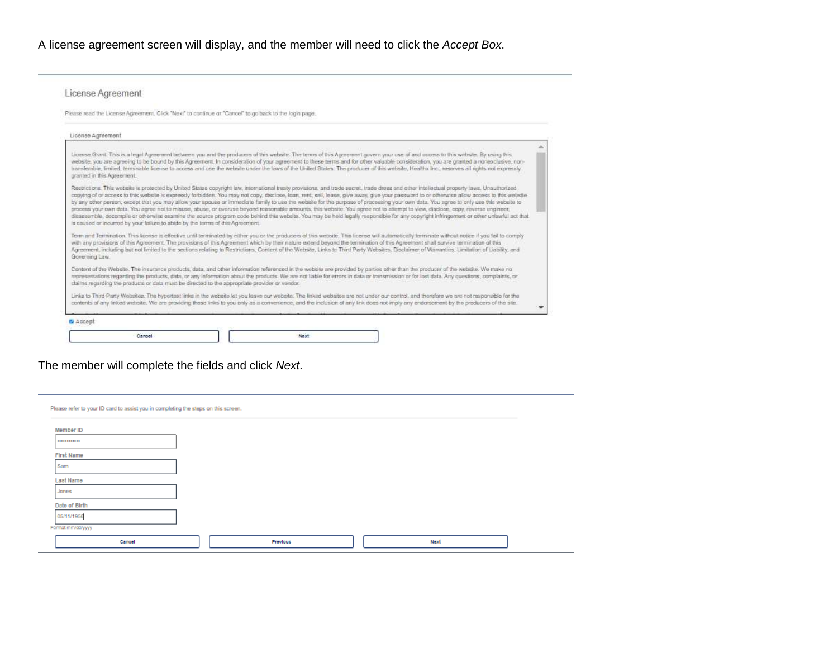A license agreement screen will display, and the member will need to click the *Accept Box*.

### License Agreement

Please read the License Agreement. Click "Next" to continue or "Cancel" to go back to the login page.

| License Agreement                                                                                                                                                                                                                                                                                                                                                                                                                                                                                                                                                                                                                                                                                                                                                                                                                                                                                                                                                                                                                               |  |
|-------------------------------------------------------------------------------------------------------------------------------------------------------------------------------------------------------------------------------------------------------------------------------------------------------------------------------------------------------------------------------------------------------------------------------------------------------------------------------------------------------------------------------------------------------------------------------------------------------------------------------------------------------------------------------------------------------------------------------------------------------------------------------------------------------------------------------------------------------------------------------------------------------------------------------------------------------------------------------------------------------------------------------------------------|--|
| License Grant. This is a legal Agreement between you and the producers of this website. The terms of this Agreement govern your use of and access to this website. By using this<br>website, you are agreeing to be bound by this Agreement. In consideration of your agreement to these terms and for other valuable consideration, you are granted a nonexclusive, non-<br>transferable, limited, terminable license to access and use the website under the laws of the United States. The producer of this website, Healthx Inc., reserves all rights not expressly<br>granted in this Agreement.                                                                                                                                                                                                                                                                                                                                                                                                                                           |  |
| Restrictions. This website is protected by United States copyright law, international treaty provisions, and trade secret, trade dress and other intellectual property laws. Unauthorized<br>copying of ar access to this website is expressly farbidden. You may not capy, disclose, loan, rent, sell, lease, give away, give your password to or otherwise allow access to this website<br>by any other person, except that you may allow your spouse or immediate family to use the website for the purpose of processing your own data. You agree to only use this website to<br>process your own data. You agree not to misuse, abuse, or overuse beyond reasonable amounts, this website. You agree not to attempt to view, disclose, copy, reverse engineer,<br>disassemble, decompile or otherwise examine the source program code behind this website. You may be held legally responsible for any copyright infringement or other unlawful act that<br>is caused or incurred by your failure to abide by the terms of this Agreement. |  |
| Term and Termination. This license is effective until terminated by either you or the producers of this website. This license will automatically terminate without notice if you fail to comply<br>with any provisions of this Agreement. The provisions of this Agreement which by their nature extend beyond the termination of this Agreement shall survive termination of this<br>Agreement, including but not limited to the sections relating to Restrictions. Content of the Webste, Links to Third Party Websites, Disclaimer of Warranties, Limitation of Lisbility, and<br>Governing Law.                                                                                                                                                                                                                                                                                                                                                                                                                                             |  |
| Content of the Website. The insurance products, data, and other information referenced in the website are provided by parties other than the producer of the website. We make no<br>representations regarding the products, data, or any information about the products. We are not liable for emors in data or transmission or for lost data. Any questions, complaints, or<br>claims regarding the products or data must be directed to the appropriate provider or vendor.                                                                                                                                                                                                                                                                                                                                                                                                                                                                                                                                                                   |  |
| Links to Third Party Websites. The hypertext links in the website let you leave our website. The linked websites are not under our control, and therefore we are not responsible for the<br>contents of any linked website. We are providing these links to you only as a convenience, and the inclusion of any link does not imply any endorsement by the producers of the site.                                                                                                                                                                                                                                                                                                                                                                                                                                                                                                                                                                                                                                                               |  |
| E Accept                                                                                                                                                                                                                                                                                                                                                                                                                                                                                                                                                                                                                                                                                                                                                                                                                                                                                                                                                                                                                                        |  |
| Cancel<br>Next                                                                                                                                                                                                                                                                                                                                                                                                                                                                                                                                                                                                                                                                                                                                                                                                                                                                                                                                                                                                                                  |  |

The member will complete the fields and click *Next*.

| Member ID     |  |  |  |
|---------------|--|--|--|
|               |  |  |  |
| First Name    |  |  |  |
| Sam           |  |  |  |
| Last Name     |  |  |  |
| Jones         |  |  |  |
| Date of Birth |  |  |  |
| 05/11/1956    |  |  |  |
|               |  |  |  |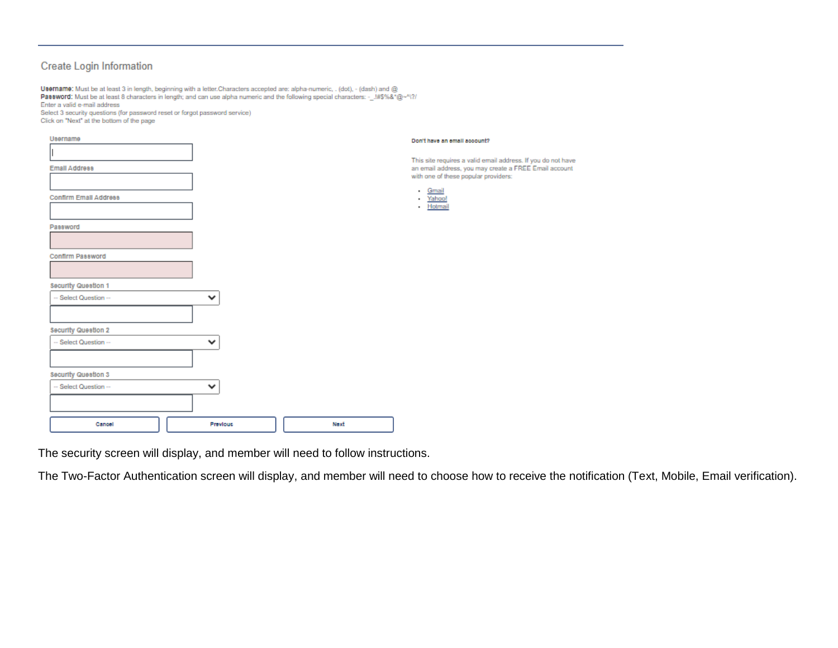## **Create Login Information**

| Username: Must be at least 3 in length, beginning with a letter. Characters accepted are: alpha-numeric, . (dot), - (dash) and @              |
|-----------------------------------------------------------------------------------------------------------------------------------------------|
| Password: Must be at least 8 characters in length; and can use alpha numeric and the following special characters: - $.1\#S\% \&^* @\sim N\%$ |
| Enter a valid e-mail address                                                                                                                  |
| Select 3 security questions (for password reset or forgot password service)                                                                   |
| Click on "Next" at the bottom of the page                                                                                                     |

| Username              |              |      | Don't have an email account?                                                                  |
|-----------------------|--------------|------|-----------------------------------------------------------------------------------------------|
|                       |              |      | This site requires a valid email address. If you do not have                                  |
| <b>Email Address</b>  |              |      | an email address, you may create a FREE Email account<br>with one of these popular providers: |
| Confirm Email Address |              |      | - Gmail<br>Yahoo!<br>$\mathbf{r}$<br>- Hotmail                                                |
| Password              |              |      |                                                                                               |
|                       |              |      |                                                                                               |
| Confirm Password      |              |      |                                                                                               |
| Security Question 1   |              |      |                                                                                               |
| -- Select Question -- | $\checkmark$ |      |                                                                                               |
| Security Question 2   |              |      |                                                                                               |
| -- Select Question -- | $\checkmark$ |      |                                                                                               |
| Security Question 3   |              |      |                                                                                               |
| -- Select Question -- | $\checkmark$ |      |                                                                                               |
|                       |              |      |                                                                                               |
| Cancel                | Previous     | Next |                                                                                               |

The security screen will display, and member will need to follow instructions.

The Two-Factor Authentication screen will display, and member will need to choose how to receive the notification (Text, Mobile, Email verification).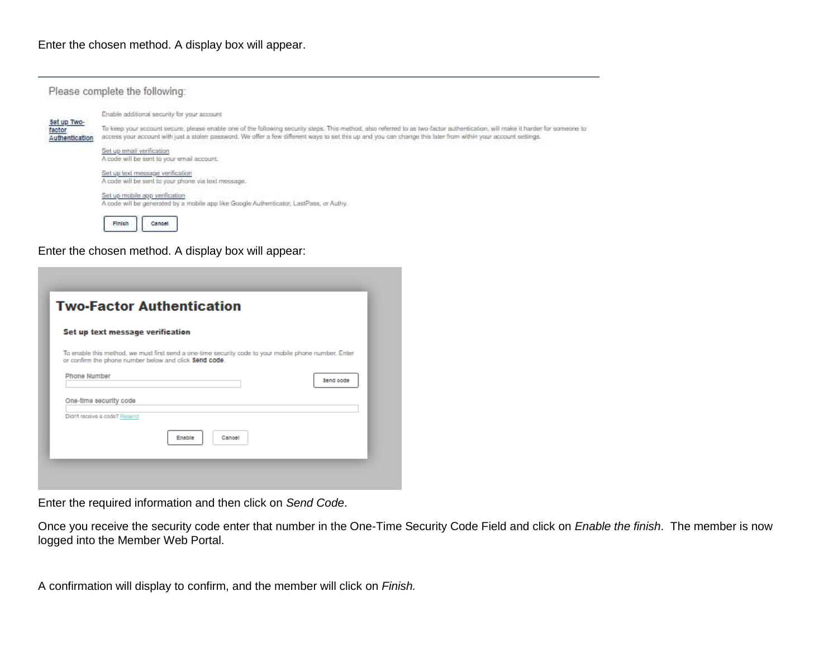

Enter the chosen method. A display box will appear:

|                                                        | <b>Two-Factor Authentication</b>                                                                      |           |
|--------------------------------------------------------|-------------------------------------------------------------------------------------------------------|-----------|
| Set up text message verification                       |                                                                                                       |           |
| or confirm the phone number below and click Send code. | To enable this method, we must first send a one-time security code to your mobile phone number. Enter |           |
|                                                        |                                                                                                       |           |
| <b>Phone Number</b>                                    |                                                                                                       | Send oode |
| One-time security code                                 |                                                                                                       |           |
| Didn't receive a code? Resend                          |                                                                                                       |           |
|                                                        | Enable<br>Cancel                                                                                      |           |

Enter the required information and then click on *Send Code*.

Once you receive the security code enter that number in the One-Time Security Code Field and click on *Enable the finish*. The member is now logged into the Member Web Portal.

A confirmation will display to confirm, and the member will click on *Finish.*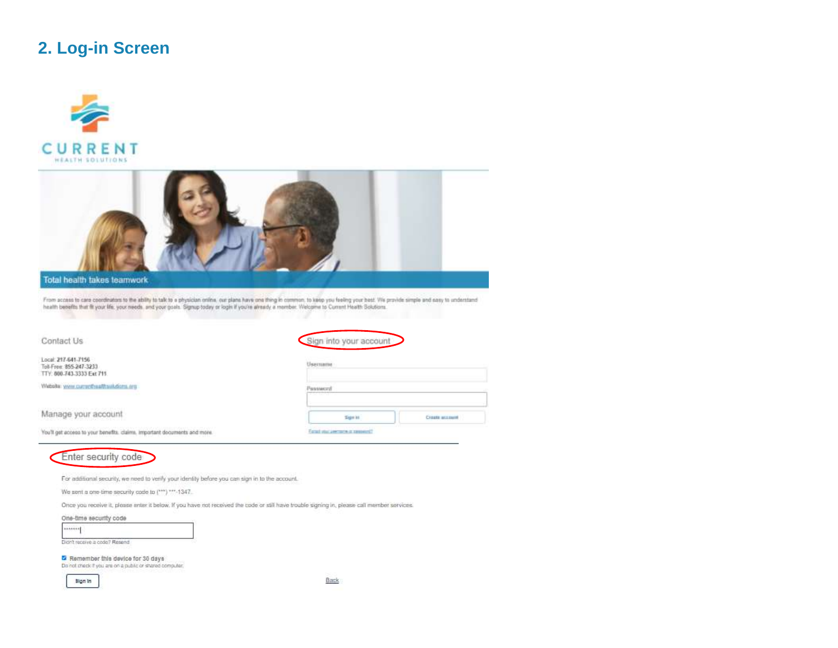## 2. Log-in Screen





Tol-Free: 855-247-3233 TTY: 000-743-3333 Ext 711

Website: www.currentreathsukdom.org

Manage your account

You'll get access to your benefits, claims, important documents and more.



For additional security, we need to verify your identity before you can sign in to the account.

We sent a one-time security code to (\*\*\*) \*\*\*-1347.

Once you receive it, please enter it below, if you have not received the code or still have trouble signing in, please call member services.

#### One-time security code

| × | --<br>۰.<br>۰. | ---- |  |
|---|----------------|------|--|
| × |                |      |  |
|   |                |      |  |

Remember this device for 30 days

Do not check if you are on a public or shared computer.



Back

Usemame

Password

Sgrist

Example and a series of content

**Create account**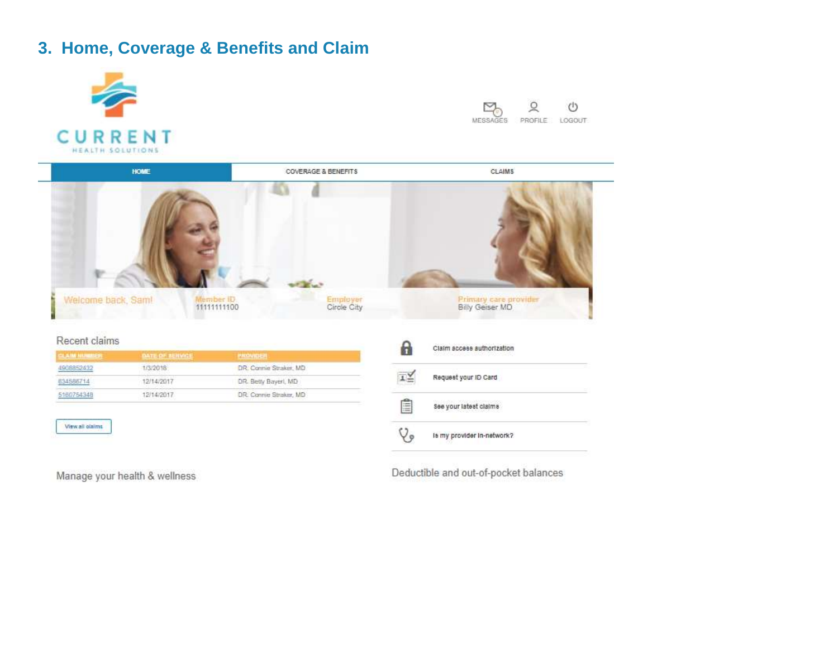## **3. Home, Coverage & Benefits and Claim**



Manage your health & wellness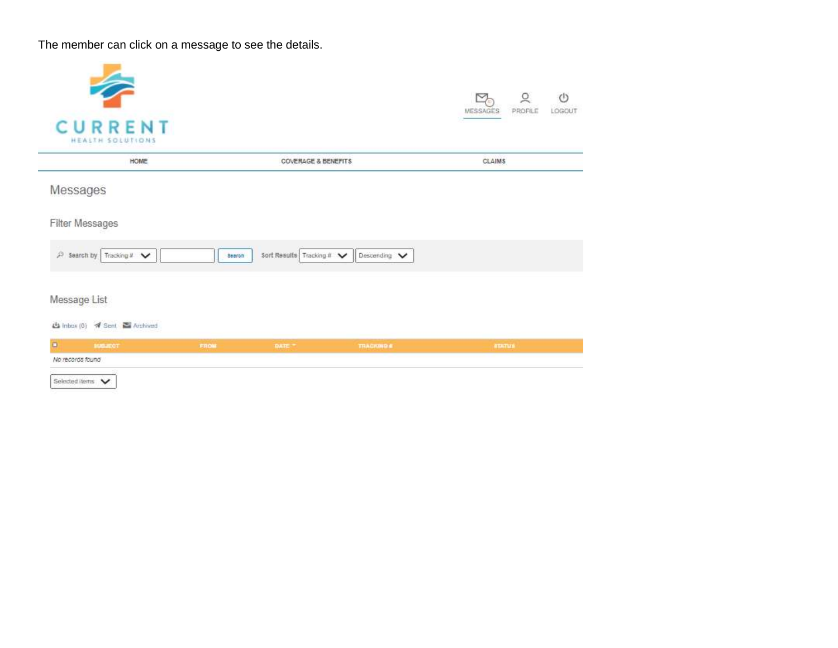The member can click on a message to see the details.

| <b>CURRENT</b><br>HEALTH SOLUTIONS |               |                                |                 | <b>MESSAGES</b> | PROFILE<br>LOGOUT |
|------------------------------------|---------------|--------------------------------|-----------------|-----------------|-------------------|
| HOME                               |               | <b>COVERAGE &amp; BENEFITS</b> |                 | <b>CLAIMS</b>   |                   |
| Messages                           |               |                                |                 |                 |                   |
| Filter Messages                    |               |                                |                 |                 |                   |
| $P$ Search by Tracking # $\vee$    | <b>Search</b> | Sort Results Tracking # V      | Descending V    |                 |                   |
| Message List                       |               |                                |                 |                 |                   |
| 4 Inbox (0) # Sent & Archived      |               |                                |                 |                 |                   |
| $\Box$                             | FROM          | <b>DATE:</b>                   | <b>TRACKING</b> | <b>ATATUA</b>   |                   |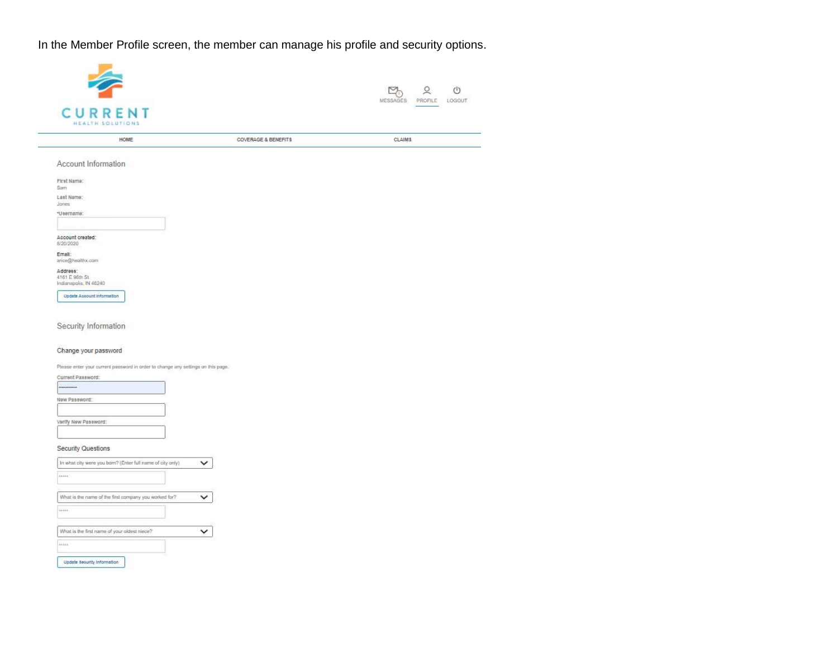In the Member Profile screen, the member can manage his profile and security options.

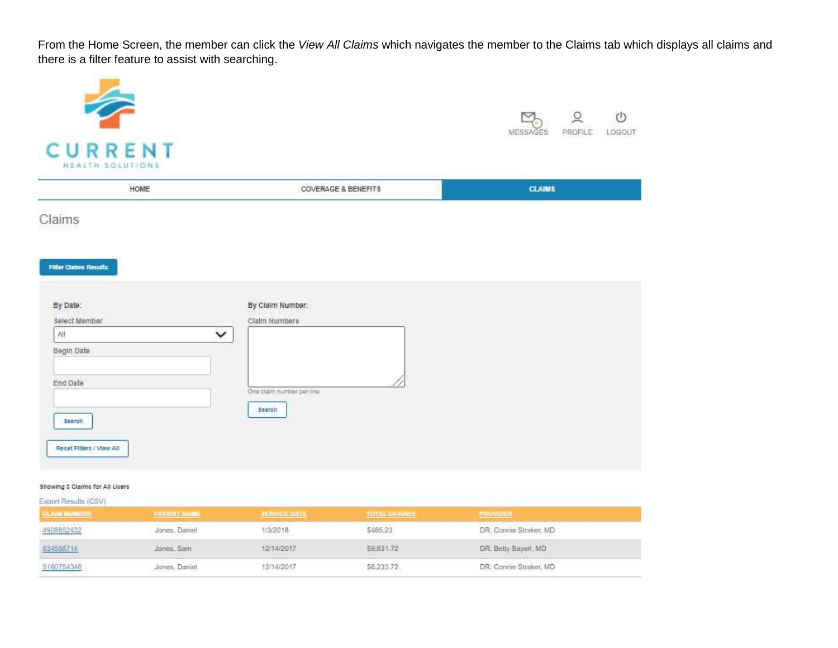From the Home Screen, the member can click the *View All Claims* which navigates the member to the Claims tab which displays all claims and there is a filter feature to assist with searching.

| <b>CURRENT</b><br>HEALTH SOLUTIONS |                                | $\frac{1}{2}$ 2<br>$\circlearrowleft$<br>PROFILE<br>LOGOUT<br>MESSAGES |
|------------------------------------|--------------------------------|------------------------------------------------------------------------|
| HOME                               | <b>COVERAGE &amp; BENEFITS</b> | <b>CLAIMS</b>                                                          |
| Claims                             |                                |                                                                        |
| <b>Filter Claims Results</b>       |                                |                                                                        |
| By Date:                           | By Claim Number:               |                                                                        |
| Select Member<br>All               | Claim Numbers<br>$\check{ }$   |                                                                        |
| Begin Date                         |                                |                                                                        |
| End Date                           | One claim number per line      |                                                                        |
| Search <sup>1</sup>                | <b>Baaron</b>                  |                                                                        |
| Recet Filters / View All           |                                |                                                                        |
| Showing S Claims for All Users     |                                |                                                                        |

| Export Results (CSV) |                     |                     |                     |                        |  |
|----------------------|---------------------|---------------------|---------------------|------------------------|--|
| <b>CLAIM NUMBER</b>  | <b>PATIENT NAME</b> | <b>IERVICE DATE</b> | <b>TOTAL CHARGE</b> | <b>PROVIDER</b>        |  |
| 4908852432           | Jones, Daniel       | 1/3/2018            | \$485,23            | DR: Connie Straker, MD |  |
| 634586714            | Jones, Sam          | 12/14/2017          | \$9,831.72          | DR. Betty Bayerl, MD   |  |
| 5160754348           | Jones. Daniel       | 12/14/2017          | \$6,233.72          | DR. Connie Straker, MD |  |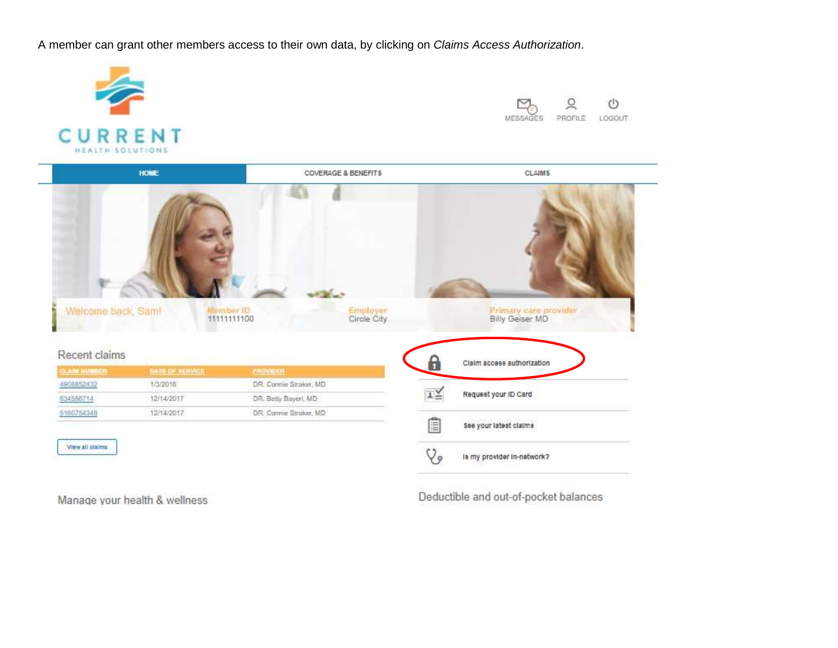A member can grant other members access to their own data, by clicking on *Claims Access Authorization*.



Manage your health & wellness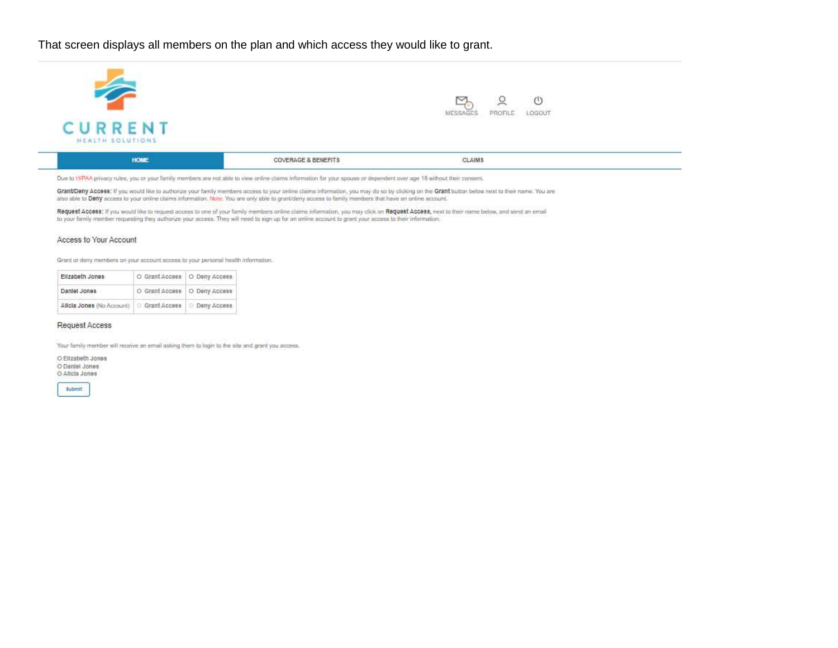That screen displays all members on the plan and which access they would like to grant.

|                                    |                                | U<br>LOGOUT<br>PROFILE<br>MESSAGES                 |  |
|------------------------------------|--------------------------------|----------------------------------------------------|--|
| <b>CURRENT</b><br>HEALTH SOLUTIONS |                                | <b>Market College College</b><br><u> TRANSPORT</u> |  |
| <b>HOME</b>                        | <b>COVERAGE &amp; BENEFITS</b> | CLAIMS                                             |  |

Due to HIPAA privacy rules, you or your family members are not able to view online claims information for your spouse or dependent over age 18 without their consent.

Grant/Deny Access: If you would like to authorize your family members access to your online claims information, you may do so by clicking on the Grant button below next to their name. You are also able to Deny access to your online claims information. Note: You are only able to grant/deny access to family members that have an online account.

Request Access; if you would like to request access to one of your family members online claims information, you may click on Request Access, next to their name below, and send an email to your family member requesting they authorize your access. They will need to sign up for an online account to grant your access to their information,

#### Access to Your Account

÷

Grant or deny members on your account access to your personal health information.

| Elizabeth Jones           | O Grant Accesa   O Deny Access |
|---------------------------|--------------------------------|
| Daniel Jones              | O Grant Access   O Deny Access |
| Allcla Jones (No Account) | Grant Access   Deny Access     |

#### Request Access

Your family member will receive an email asking them to login to the site and grant you access.

O Elizabeth Jones O Daniel Jones O Allcla Jones

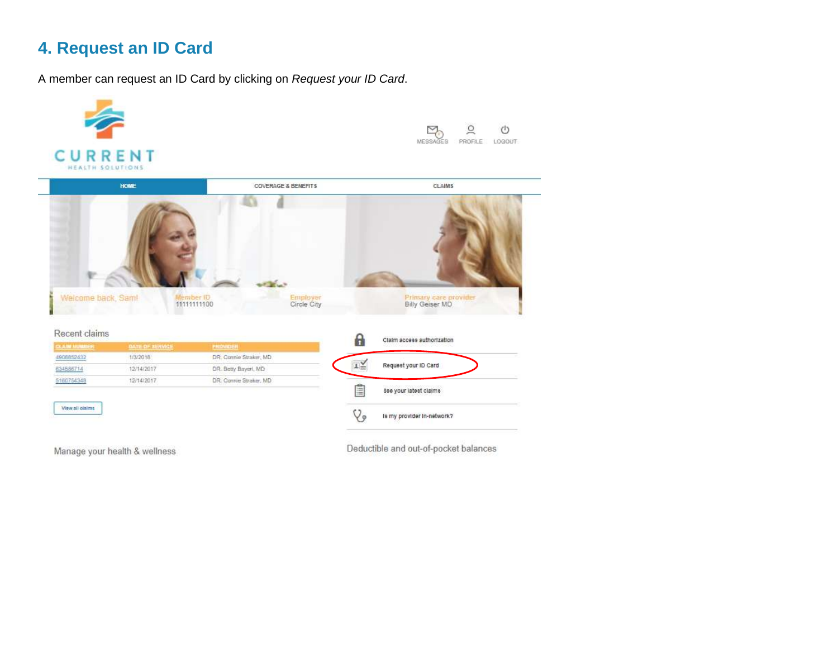## **4. Request an ID Card**

A member can request an ID Card by clicking on *Request your ID Card*.



Manage your health & wellness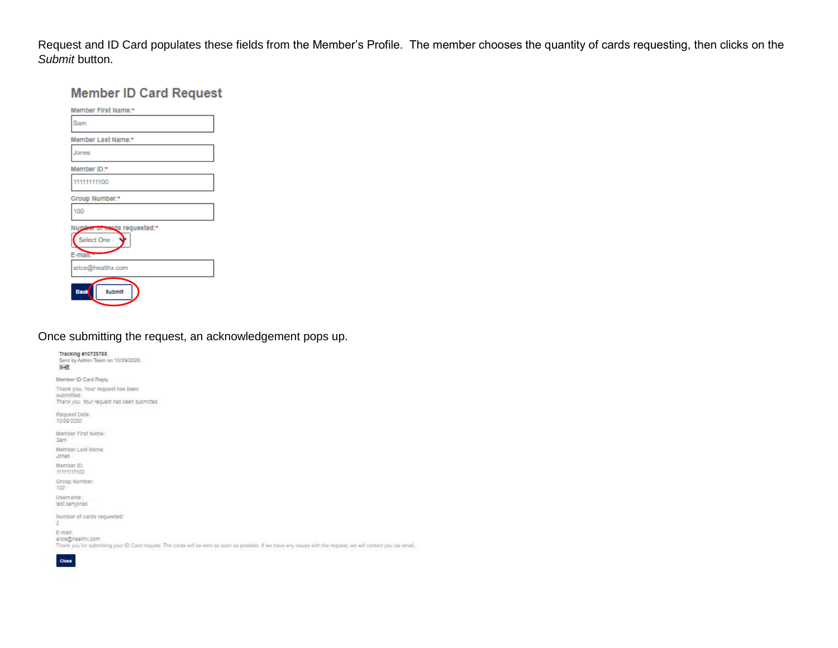Request and ID Card populates these fields from the Member's Profile. The member chooses the quantity of cards requesting, then clicks on the *Submit* button.

## **Member ID Card Request**

| Member First Name:*                                      |
|----------------------------------------------------------|
| Sam                                                      |
| Member Last Name:*                                       |
| Jones                                                    |
| Member ID:*                                              |
| 11111111100                                              |
| Group Number:*                                           |
| 100                                                      |
| Number of eards requested:*<br>- Select One -<br>E-mail: |
| arice@healthx.com                                        |
| Baok<br><b>Submit</b>                                    |

## Once submitting the request, an acknowledgement pops up.

Tracking #10725768 Sent by Admin Team on 10/29/2020.  $-11$ Member ID Card Reply Thank you. Your request has been submitted. Thank you. Your request has been submitted. Request Date:<br>10/20/2020 Member First Name: Sam Member Last Name: Jones Member ID:<br>fffffffff60 Group Number:<br>100 Usemame: test samjones Number of cards requested:  $\overline{\mathbf{z}}$ E-mail: ance@heathic.com Thank you for submitting your ID Card request. The cards will be sent as soon as possible. If we have any issues with the request, we will contact you via email.

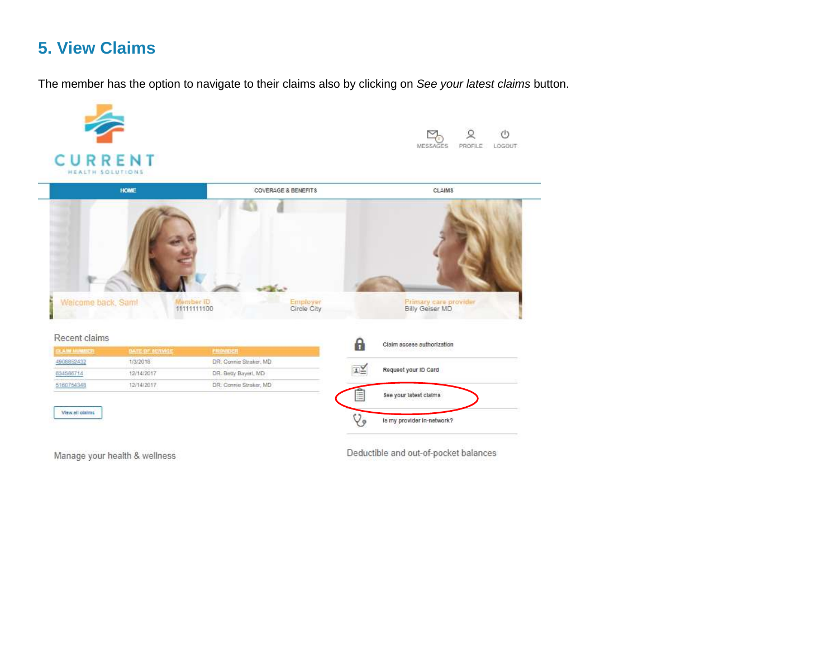## **5. View Claims**

The member has the option to navigate to their claims also by clicking on *See your latest claims* button.



Manage your health & wellness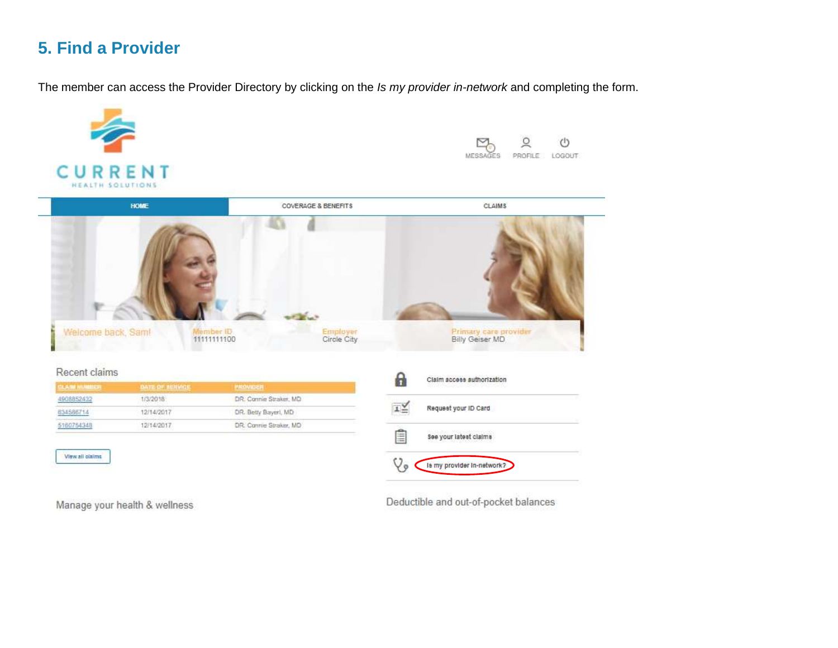## **5. Find a Provider**

The member can access the Provider Directory by clicking on the *Is my provider in-network* and completing the form.



Manage your health & wellness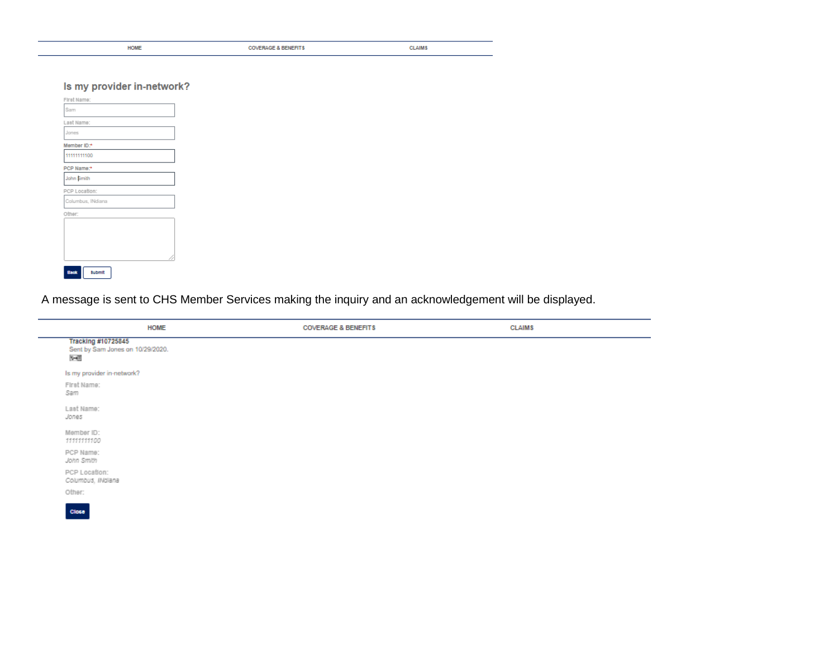| <b>HOME</b>                | <b>COVERAGE &amp; BENEFITS</b> | <b>CLAIMS</b> |
|----------------------------|--------------------------------|---------------|
|                            |                                |               |
|                            |                                |               |
| Is my provider in-network? |                                |               |

| First Name:           |
|-----------------------|
| Sam                   |
| Last Name:            |
| Jones                 |
| Member ID:*           |
| 11111111100           |
| PCP Name:*            |
| John Smith            |
| PCP Location:         |
| Columbus, INdiana     |
| Other:                |
|                       |
|                       |
|                       |
|                       |
| <b>Submit</b><br>Baok |

A message is sent to CHS Member Services making the inquiry and an acknowledgement will be displayed.

| <b>HOME</b>                                                    | <b>COVERAGE &amp; BENEFITS</b> | <b>CLAIMS</b> |  |
|----------------------------------------------------------------|--------------------------------|---------------|--|
| Tracking #10725845<br>Sent by Sam Jones on 10/29/2020.<br>$-1$ |                                |               |  |
| Is my provider in-network?                                     |                                |               |  |
| First Name:<br>Sam                                             |                                |               |  |
| Last Name:<br>Jones                                            |                                |               |  |
| Member ID:<br>1111111100                                       |                                |               |  |
| PCP Name:<br>John Smith                                        |                                |               |  |
| PCP Location:<br>Columbus, INdiana                             |                                |               |  |
|                                                                |                                |               |  |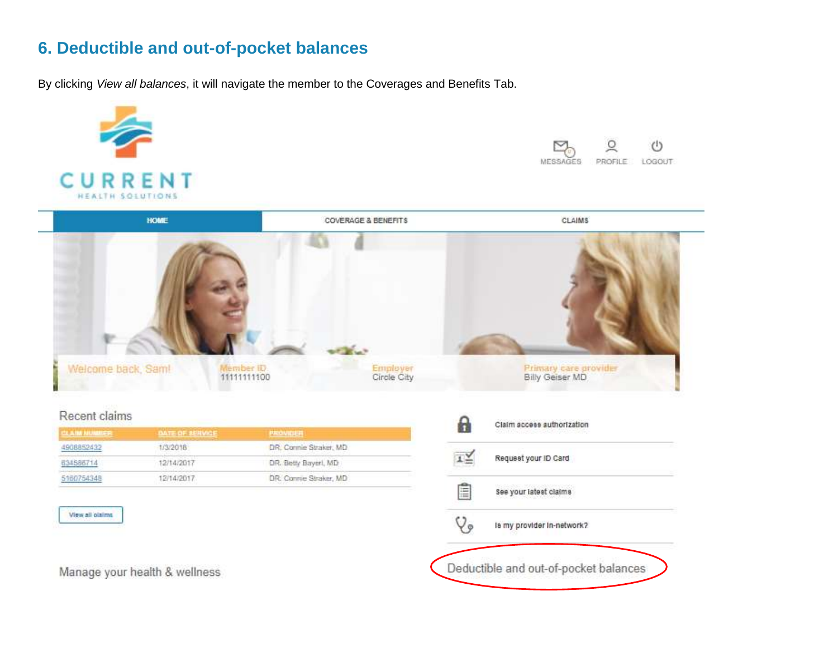## **6. Deductible and out-of-pocket balances**

By clicking *View all balances*, it will navigate the member to the Coverages and Benefits Tab.

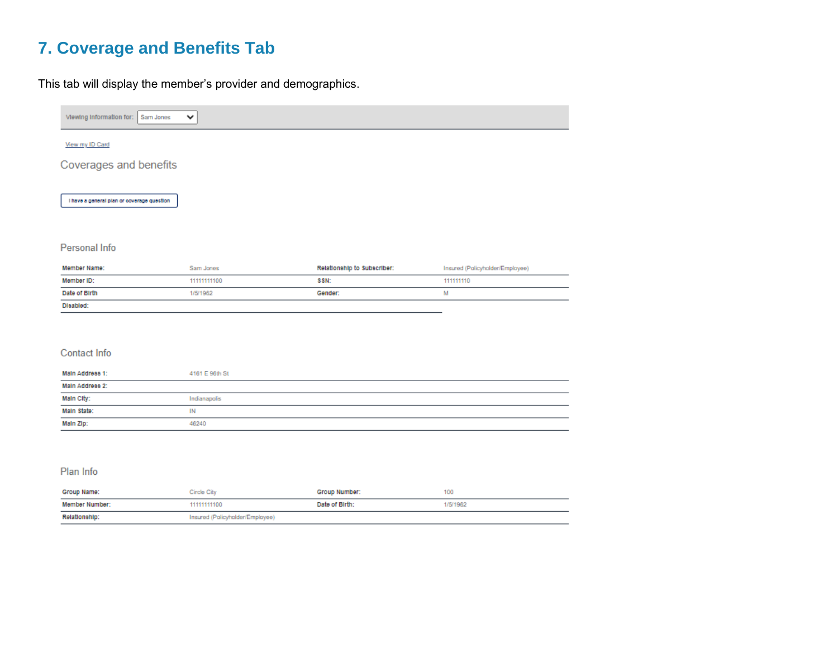## **7. Coverage and Benefits Tab**

This tab will display the member's provider and demographics.

| Viewing Information for:<br>Sam Jones      | $\checkmark$ |                             |                                 |
|--------------------------------------------|--------------|-----------------------------|---------------------------------|
|                                            |              |                             |                                 |
| View my ID Card                            |              |                             |                                 |
| Coverages and benefits                     |              |                             |                                 |
|                                            |              |                             |                                 |
| I have a general plan or coverage question |              |                             |                                 |
|                                            |              |                             |                                 |
|                                            |              |                             |                                 |
| Personal Info                              |              |                             |                                 |
| Member Name:                               | Sam Jones    | Relationship to Subscriber: | Insured (Policyholder/Employee) |
| Member ID:                                 | 11111111100  | SSN:                        | 111111110                       |
| Date of Birth                              | 1/5/1962     | Gender:                     | M                               |
| Disabled:                                  |              |                             |                                 |
|                                            |              |                             |                                 |
|                                            |              |                             |                                 |
|                                            |              |                             |                                 |

| Main Address 1:     | 4161 E 96th St |
|---------------------|----------------|
| Main Address 2:     |                |
| Main City:<br>_____ | Indianapolis   |
| Main State:         | IN             |
| Main Zip:           | 46240          |

### Plan Info

| Group Name:    | Circle City                     | Group Number:  |          |
|----------------|---------------------------------|----------------|----------|
| Member Number: | 11111111100                     | Date of Birth: | 1/5/1982 |
| Relationship:  | Insured (Policyholder/Employee) |                |          |